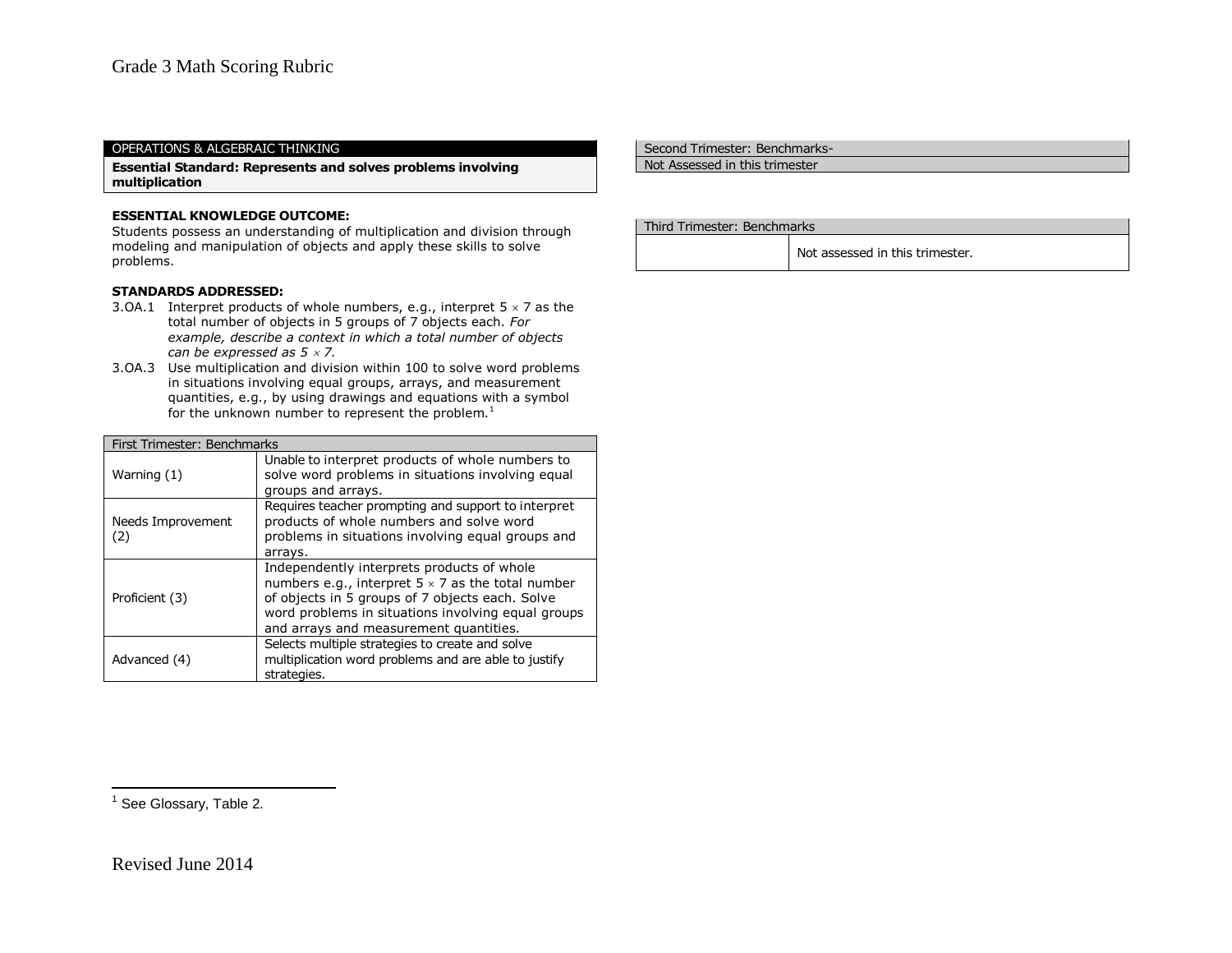### OPERATIONS & ALGEBRAIC THINKING

**Essential Standard: Represents and solves problems involving multiplication**

## **ESSENTIAL KNOWLEDGE OUTCOME:**

Students possess an understanding of multiplication and division through modeling and manipulation of objects and apply these skills to solve problems.

#### **STANDARDS ADDRESSED:**

- 3.OA.1 Interpret products of whole numbers, e.g., interpret  $5 \times 7$  as the total number of objects in 5 groups of 7 objects each. *For example, describe a context in which a total number of objects can be expressed as 5 7.*
- 3.OA.3 Use multiplication and division within 100 to solve word problems in situations involving equal groups, arrays, and measurement quantities, e.g., by using drawings and equations with a symbol for the unknown number to represent the problem*.* 1

| First Trimester: Benchmarks |                                                                                                                                                                                                                                                           |
|-----------------------------|-----------------------------------------------------------------------------------------------------------------------------------------------------------------------------------------------------------------------------------------------------------|
| Warning (1)                 | Unable to interpret products of whole numbers to<br>solve word problems in situations involving equal<br>groups and arrays.                                                                                                                               |
| Needs Improvement<br>(2)    | Requires teacher prompting and support to interpret<br>products of whole numbers and solve word<br>problems in situations involving equal groups and<br>arrays.                                                                                           |
| Proficient (3)              | Independently interprets products of whole<br>numbers e.g., interpret $5 \times 7$ as the total number<br>of objects in 5 groups of 7 objects each. Solve<br>word problems in situations involving equal groups<br>and arrays and measurement quantities. |
| Advanced (4)                | Selects multiple strategies to create and solve<br>multiplication word problems and are able to justify<br>strategies.                                                                                                                                    |

Second Trimester: Benchmarks-

Not Assessed in this trimester

### Third Trimester: Benchmarks

Not assessed in this trimester.

<u>.</u><br><sup>1</sup> See Glossary, Table 2.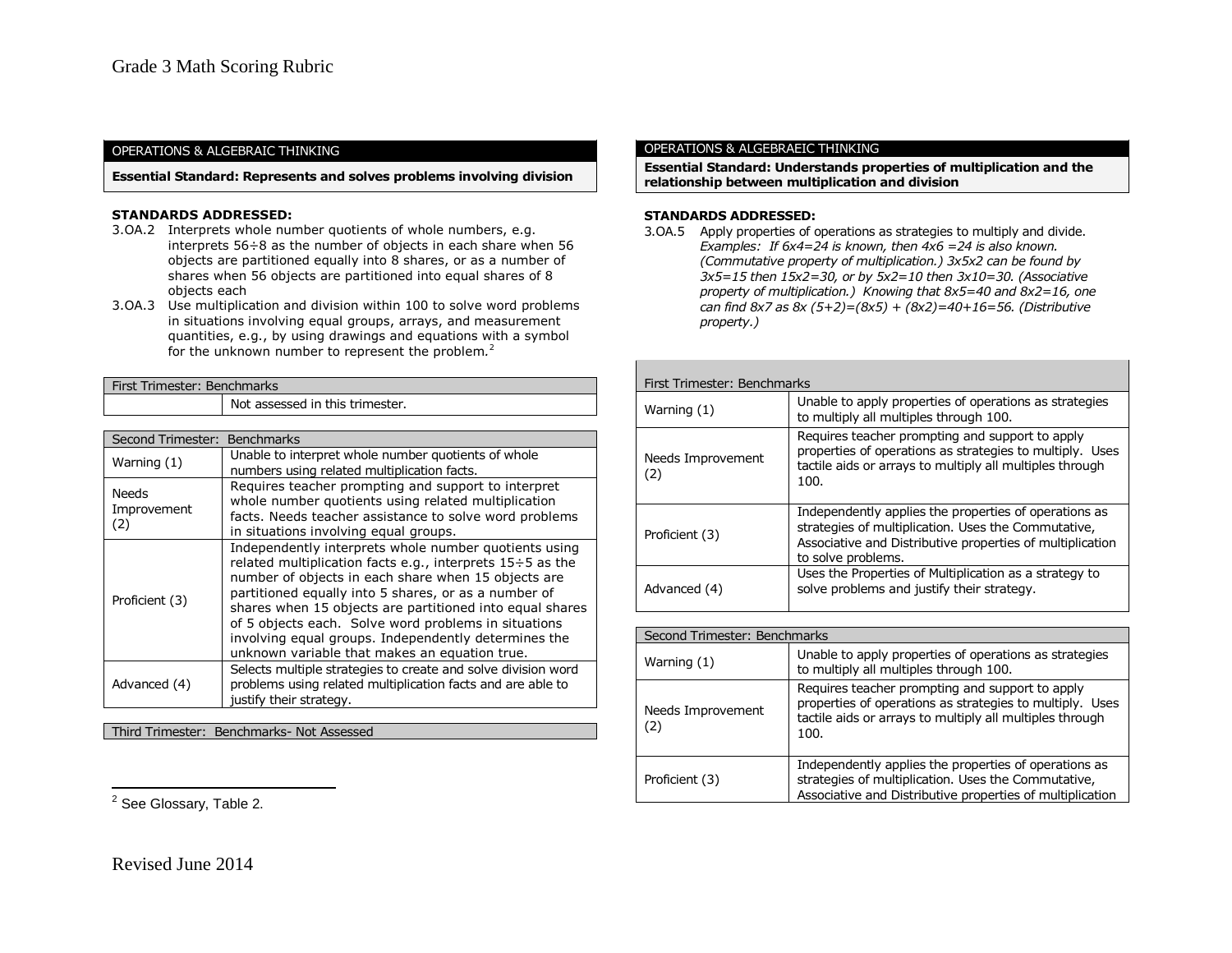### OPERATIONS & ALGEBRAIC THINKING

**Essential Standard: Represents and solves problems involving division**

### **STANDARDS ADDRESSED:**

- 3.OA.2 Interprets whole number quotients of whole numbers, e.g. interprets 56÷8 as the number of objects in each share when 56 objects are partitioned equally into 8 shares, or as a number of shares when 56 objects are partitioned into equal shares of 8 objects each
- 3.OA.3 Use multiplication and division within 100 to solve word problems in situations involving equal groups, arrays, and measurement quantities, e.g., by using drawings and equations with a symbol for the unknown number to represent the problem*.* 2

### First Trimester: Benchmarks

Not assessed in this trimester.

| Second Trimester: Benchmarks       |                                                                                                                                                                                                                                                                                                                                                                                                                                                                |
|------------------------------------|----------------------------------------------------------------------------------------------------------------------------------------------------------------------------------------------------------------------------------------------------------------------------------------------------------------------------------------------------------------------------------------------------------------------------------------------------------------|
| Warning (1)                        | Unable to interpret whole number quotients of whole<br>numbers using related multiplication facts.                                                                                                                                                                                                                                                                                                                                                             |
| <b>Needs</b><br>Improvement<br>(2) | Requires teacher prompting and support to interpret<br>whole number quotients using related multiplication<br>facts. Needs teacher assistance to solve word problems<br>in situations involving equal groups.                                                                                                                                                                                                                                                  |
| Proficient (3)                     | Independently interprets whole number quotients using<br>related multiplication facts e.g., interprets 15÷5 as the<br>number of objects in each share when 15 objects are<br>partitioned equally into 5 shares, or as a number of<br>shares when 15 objects are partitioned into equal shares<br>of 5 objects each. Solve word problems in situations<br>involving equal groups. Independently determines the<br>unknown variable that makes an equation true. |
| Advanced (4)                       | Selects multiple strategies to create and solve division word<br>problems using related multiplication facts and are able to<br>justify their strategy.                                                                                                                                                                                                                                                                                                        |

Third Trimester: Benchmarks- Not Assessed

### OPERATIONS & ALGEBRAEIC THINKING

**Essential Standard: Understands properties of multiplication and the relationship between multiplication and division**

### **STANDARDS ADDRESSED:**

3.OA.5 Apply properties of operations as strategies to multiply and divide. *Examples: If 6x4=24 is known, then 4x6 =24 is also known. (Commutative property of multiplication.) 3x5x2 can be found by 3x5=15 then 15x2=30, or by 5x2=10 then 3x10=30. (Associative property of multiplication.) Knowing that 8x5=40 and 8x2=16, one can find 8x7 as 8x (5+2)=(8x5) + (8x2)=40+16=56. (Distributive property.)*

| First Trimester: Benchmarks |                                                                                                                                                                                                 |  |
|-----------------------------|-------------------------------------------------------------------------------------------------------------------------------------------------------------------------------------------------|--|
| Warning $(1)$               | Unable to apply properties of operations as strategies<br>to multiply all multiples through 100.                                                                                                |  |
| Needs Improvement<br>(2)    | Requires teacher prompting and support to apply<br>properties of operations as strategies to multiply. Uses<br>tactile aids or arrays to multiply all multiples through<br>100.                 |  |
| Proficient (3)              | Independently applies the properties of operations as<br>strategies of multiplication. Uses the Commutative,<br>Associative and Distributive properties of multiplication<br>to solve problems. |  |
| Advanced (4)                | Uses the Properties of Multiplication as a strategy to<br>solve problems and justify their strategy.                                                                                            |  |

| Second Trimester: Benchmarks |                                                                                                                                                                                 |
|------------------------------|---------------------------------------------------------------------------------------------------------------------------------------------------------------------------------|
| Warning $(1)$                | Unable to apply properties of operations as strategies<br>to multiply all multiples through 100.                                                                                |
| Needs Improvement<br>(2)     | Requires teacher prompting and support to apply<br>properties of operations as strategies to multiply. Uses<br>tactile aids or arrays to multiply all multiples through<br>100. |
| Proficient (3)               | Independently applies the properties of operations as<br>strategies of multiplication. Uses the Commutative,<br>Associative and Distributive properties of multiplication       |

<u>.</u><br><sup>2</sup> See Glossary, Table 2.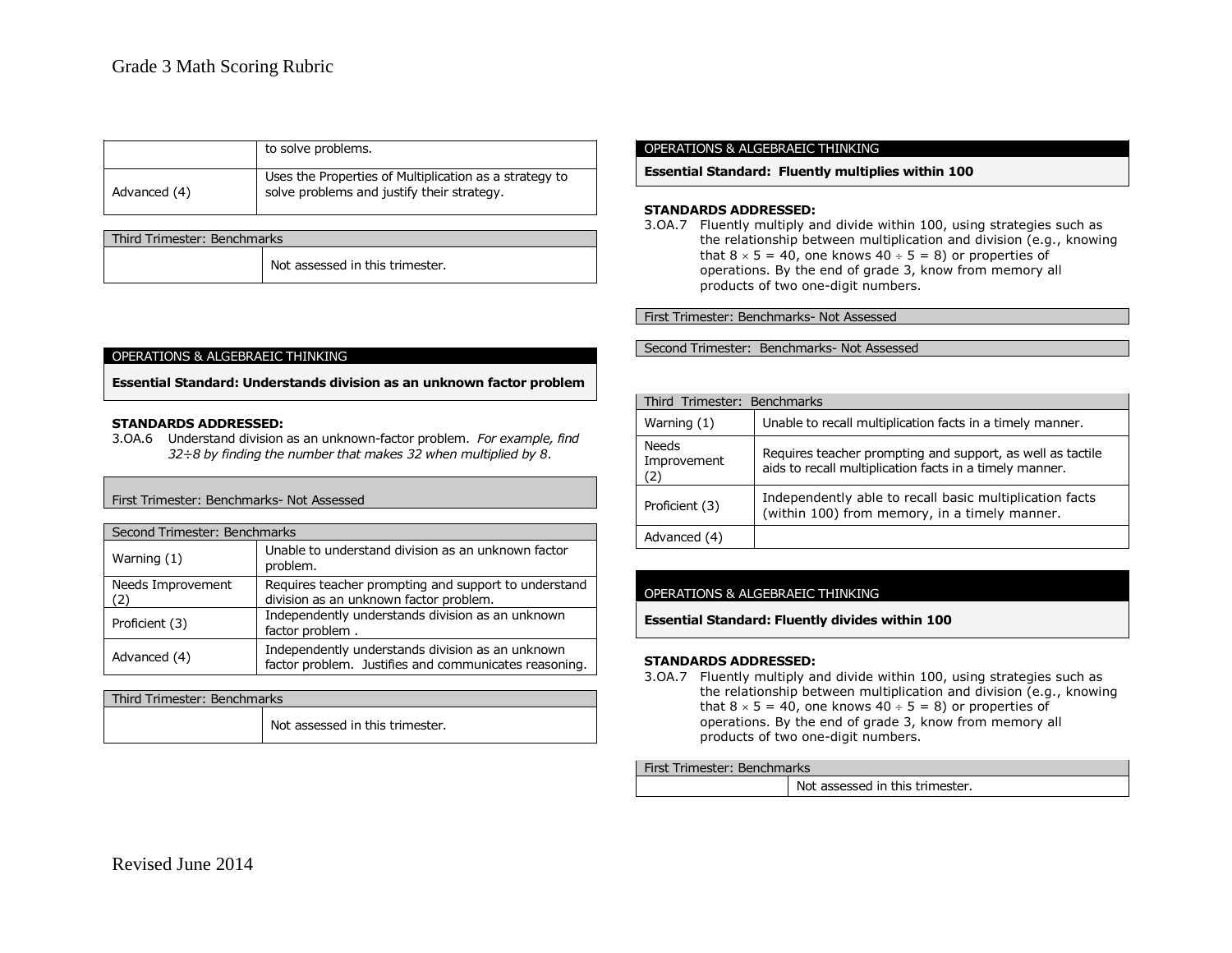|              | to solve problems.                                                                                   |
|--------------|------------------------------------------------------------------------------------------------------|
| Advanced (4) | Uses the Properties of Multiplication as a strategy to<br>solve problems and justify their strategy. |

| Third Trimester: Benchmarks |                                 |  |
|-----------------------------|---------------------------------|--|
|                             | Not assessed in this trimester. |  |

#### OPERATIONS & ALGEBRAEIC THINKING

**Essential Standard: Understands division as an unknown factor problem**

### **STANDARDS ADDRESSED:**

3.OA.6 Understand division as an unknown-factor problem. *For example, find 32÷8 by finding the number that makes 32 when multiplied by 8*.

## First Trimester: Benchmarks- Not Assessed

| Second Trimester: Benchmarks |                                                                                                           |  |
|------------------------------|-----------------------------------------------------------------------------------------------------------|--|
| Warning (1)                  | Unable to understand division as an unknown factor<br>problem.                                            |  |
| Needs Improvement<br>(2)     | Requires teacher prompting and support to understand<br>division as an unknown factor problem.            |  |
| Proficient (3)               | Independently understands division as an unknown<br>factor problem.                                       |  |
| Advanced (4)                 | Independently understands division as an unknown<br>factor problem. Justifies and communicates reasoning. |  |

| Third Trimester: Benchmarks |                                 |
|-----------------------------|---------------------------------|
|                             | Not assessed in this trimester. |

#### OPERATIONS & ALGEBRAEIC THINKING

**Essential Standard: Fluently multiplies within 100**

#### **STANDARDS ADDRESSED:**

3.OA.7 Fluently multiply and divide within 100, using strategies such as the relationship between multiplication and division (e.g., knowing that  $8 \times 5 = 40$ , one knows  $40 \div 5 = 8$ ) or properties of operations. By the end of grade 3, know from memory all products of two one-digit numbers.

First Trimester: Benchmarks- Not Assessed

Second Trimester: Benchmarks- Not Assessed

| Third Trimester: Benchmarks        |                                                                                                                       |
|------------------------------------|-----------------------------------------------------------------------------------------------------------------------|
| Warning (1)                        | Unable to recall multiplication facts in a timely manner.                                                             |
| <b>Needs</b><br>Improvement<br>(2) | Requires teacher prompting and support, as well as tactile<br>aids to recall multiplication facts in a timely manner. |
| Proficient (3)                     | Independently able to recall basic multiplication facts<br>(within 100) from memory, in a timely manner.              |
| Advanced (4)                       |                                                                                                                       |

## OPERATIONS & ALGEBRAEIC THINKING

**Essential Standard: Fluently divides within 100**

#### **STANDARDS ADDRESSED:**

3.OA.7 Fluently multiply and divide within 100, using strategies such as the relationship between multiplication and division (e.g., knowing that  $8 \times 5 = 40$ , one knows  $40 \div 5 = 8$ ) or properties of operations. By the end of grade 3, know from memory all products of two one-digit numbers.

#### First Trimester: Benchmarks

| Not assessed in this trimester. |
|---------------------------------|
|                                 |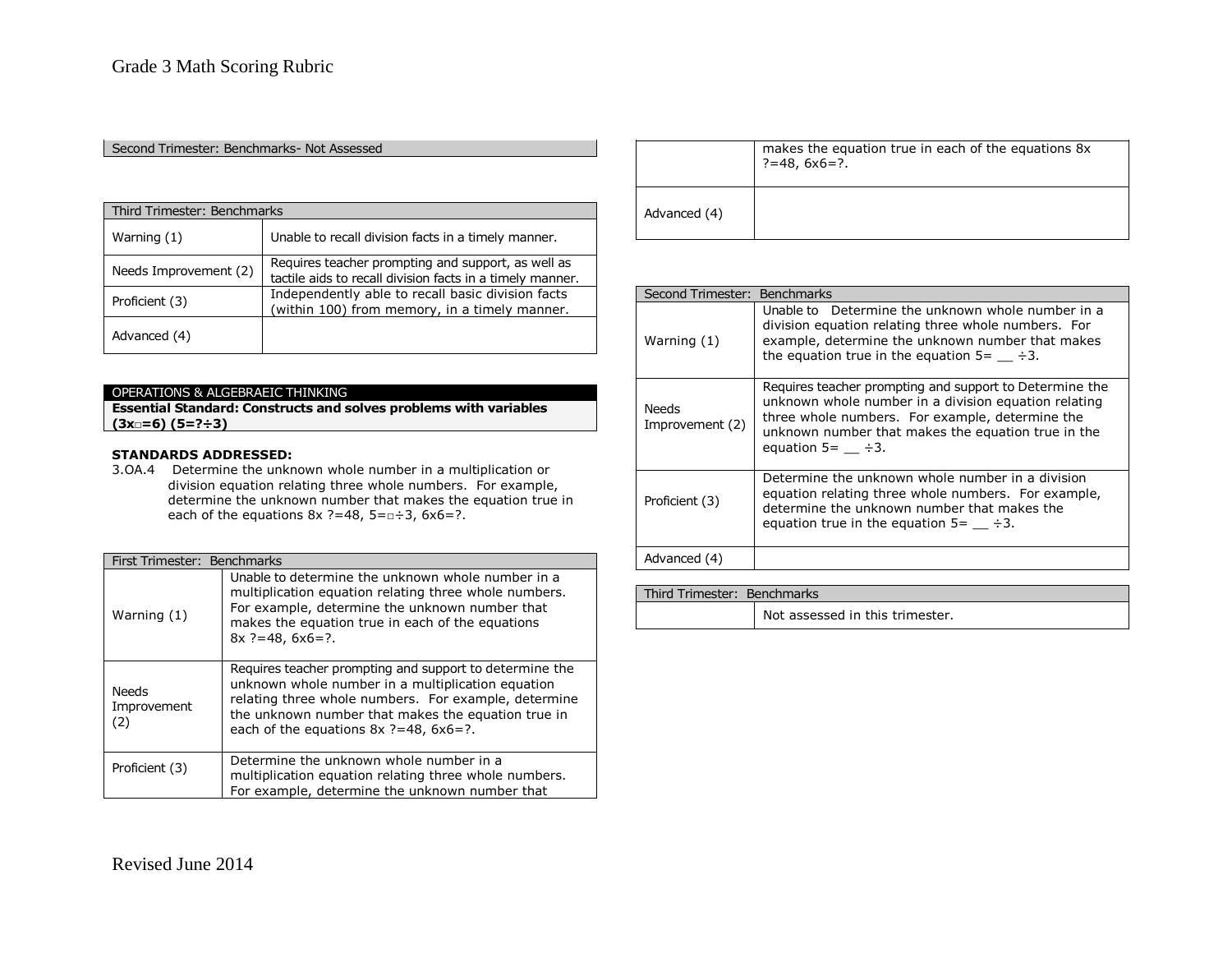### Second Trimester: Benchmarks- Not Assessed

| Third Trimester: Benchmarks |                                                                                                                 |
|-----------------------------|-----------------------------------------------------------------------------------------------------------------|
| Warning $(1)$               | Unable to recall division facts in a timely manner.                                                             |
| Needs Improvement (2)       | Requires teacher prompting and support, as well as<br>tactile aids to recall division facts in a timely manner. |
| Proficient (3)              | Independently able to recall basic division facts<br>(within 100) from memory, in a timely manner.              |
| Advanced (4)                |                                                                                                                 |

# OPERATIONS & ALGEBRAEIC THINKING

**Essential Standard: Constructs and solves problems with variables (3x□=6) (5=?÷3)**

# **STANDARDS ADDRESSED:**

3.OA.4 Determine the unknown whole number in a multiplication or division equation relating three whole numbers. For example, determine the unknown number that makes the equation true in each of the equations  $8x$  ?=48,  $5=0\div 3$ ,  $6x6=$ ?.

| First Trimester: Benchmarks        |                                                                                                                                                                                                                                                                          |
|------------------------------------|--------------------------------------------------------------------------------------------------------------------------------------------------------------------------------------------------------------------------------------------------------------------------|
| Warning (1)                        | Unable to determine the unknown whole number in a<br>multiplication equation relating three whole numbers.<br>For example, determine the unknown number that<br>makes the equation true in each of the equations<br>$8x$ ?=48, $6x6=$ ?.                                 |
| <b>Needs</b><br>Improvement<br>(2) | Requires teacher prompting and support to determine the<br>unknown whole number in a multiplication equation<br>relating three whole numbers. For example, determine<br>the unknown number that makes the equation true in<br>each of the equations $8x$ ?=48, $6x6=$ ?. |
| Proficient (3)                     | Determine the unknown whole number in a<br>multiplication equation relating three whole numbers.<br>For example, determine the unknown number that                                                                                                                       |

|              | makes the equation true in each of the equations 8x<br>?=48, 6x6=?. |
|--------------|---------------------------------------------------------------------|
| Advanced (4) |                                                                     |

| Second Trimester: Benchmarks |                                                                                                                                                                                                                                                |
|------------------------------|------------------------------------------------------------------------------------------------------------------------------------------------------------------------------------------------------------------------------------------------|
| Warning (1)                  | Unable to Determine the unknown whole number in a<br>division equation relating three whole numbers. For<br>example, determine the unknown number that makes<br>the equation true in the equation $5 =$ $\div 3$ .                             |
| Needs<br>Improvement (2)     | Requires teacher prompting and support to Determine the<br>unknown whole number in a division equation relating<br>three whole numbers. For example, determine the<br>unknown number that makes the equation true in the<br>equation $5 = 3$ . |
| Proficient (3)               | Determine the unknown whole number in a division<br>equation relating three whole numbers. For example,<br>determine the unknown number that makes the<br>equation true in the equation $5 = \underline{\hspace{1cm}} + 3$ .                   |
| Advanced (4)                 |                                                                                                                                                                                                                                                |

| Third Trimester: Benchmarks |                                 |
|-----------------------------|---------------------------------|
|                             | Not assessed in this trimester. |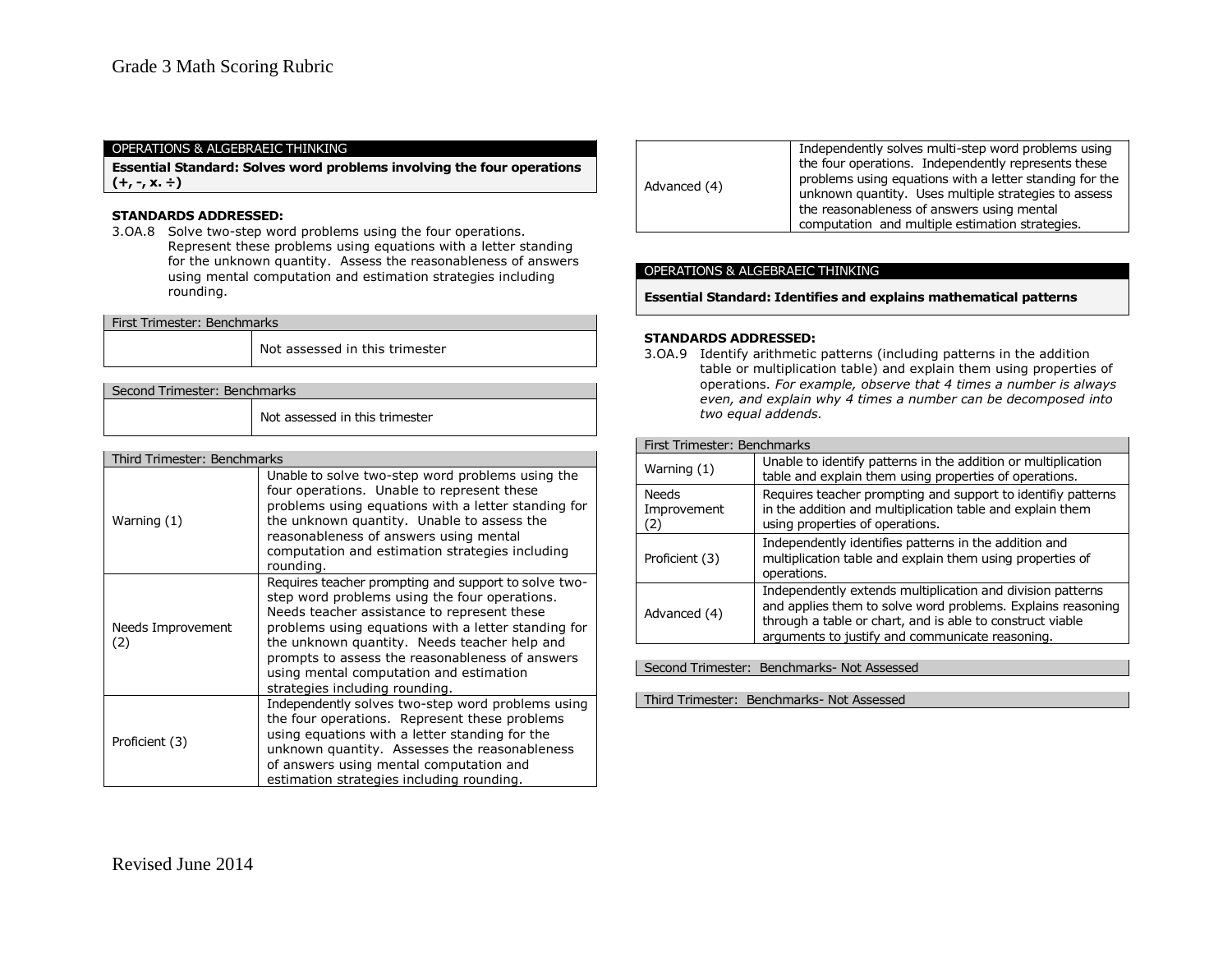### OPERATIONS & ALGEBRAEIC THINKING

**Essential Standard: Solves word problems involving the four operations (+, -, x. ÷)**

### **STANDARDS ADDRESSED:**

3.OA.8 Solve two-step word problems using the four operations. Represent these problems using equations with a letter standing for the unknown quantity. Assess the reasonableness of answers using mental computation and estimation strategies including rounding.

| First Trimester: Benchmarks  |                                |
|------------------------------|--------------------------------|
|                              | Not assessed in this trimester |
|                              |                                |
| Second Trimester: Benchmarks |                                |

Not assessed in this trimester

| Third Trimester: Benchmarks |                                                                                                                                                                                                                                                                                                                                                                                             |  |
|-----------------------------|---------------------------------------------------------------------------------------------------------------------------------------------------------------------------------------------------------------------------------------------------------------------------------------------------------------------------------------------------------------------------------------------|--|
| Warning (1)                 | Unable to solve two-step word problems using the<br>four operations. Unable to represent these<br>problems using equations with a letter standing for<br>the unknown quantity. Unable to assess the<br>reasonableness of answers using mental<br>computation and estimation strategies including<br>rounding.                                                                               |  |
| Needs Improvement<br>(2)    | Requires teacher prompting and support to solve two-<br>step word problems using the four operations.<br>Needs teacher assistance to represent these<br>problems using equations with a letter standing for<br>the unknown quantity. Needs teacher help and<br>prompts to assess the reasonableness of answers<br>using mental computation and estimation<br>strategies including rounding. |  |
| Proficient (3)              | Independently solves two-step word problems using<br>the four operations. Represent these problems<br>using equations with a letter standing for the<br>unknown quantity. Assesses the reasonableness<br>of answers using mental computation and<br>estimation strategies including rounding.                                                                                               |  |

| Advanced (4) | Independently solves multi-step word problems using<br>the four operations. Independently represents these<br>problems using equations with a letter standing for the<br>unknown quantity. Uses multiple strategies to assess<br>the reasonableness of answers using mental<br>computation and multiple estimation strategies. |
|--------------|--------------------------------------------------------------------------------------------------------------------------------------------------------------------------------------------------------------------------------------------------------------------------------------------------------------------------------|
|              |                                                                                                                                                                                                                                                                                                                                |

## OPERATIONS & ALGEBRAEIC THINKING

**Essential Standard: Identifies and explains mathematical patterns**

### **STANDARDS ADDRESSED:**

3.OA.9 Identify arithmetic patterns (including patterns in the addition table or multiplication table) and explain them using properties of operations. *For example, observe that 4 times a number is always even, and explain why 4 times a number can be decomposed into two equal addends.* 

### First Trimester: Benchmarks

| Warning (1)                        | Unable to identify patterns in the addition or multiplication<br>table and explain them using properties of operations.                                                                                                                   |
|------------------------------------|-------------------------------------------------------------------------------------------------------------------------------------------------------------------------------------------------------------------------------------------|
| <b>Needs</b><br>Improvement<br>(2) | Requires teacher prompting and support to identifiy patterns<br>in the addition and multiplication table and explain them<br>using properties of operations.                                                                              |
| Proficient (3)                     | Independently identifies patterns in the addition and<br>multiplication table and explain them using properties of<br>operations.                                                                                                         |
| Advanced (4)                       | Independently extends multiplication and division patterns<br>and applies them to solve word problems. Explains reasoning<br>through a table or chart, and is able to construct viable<br>arguments to justify and communicate reasoning. |

Second Trimester: Benchmarks- Not Assessed

Third Trimester: Benchmarks- Not Assessed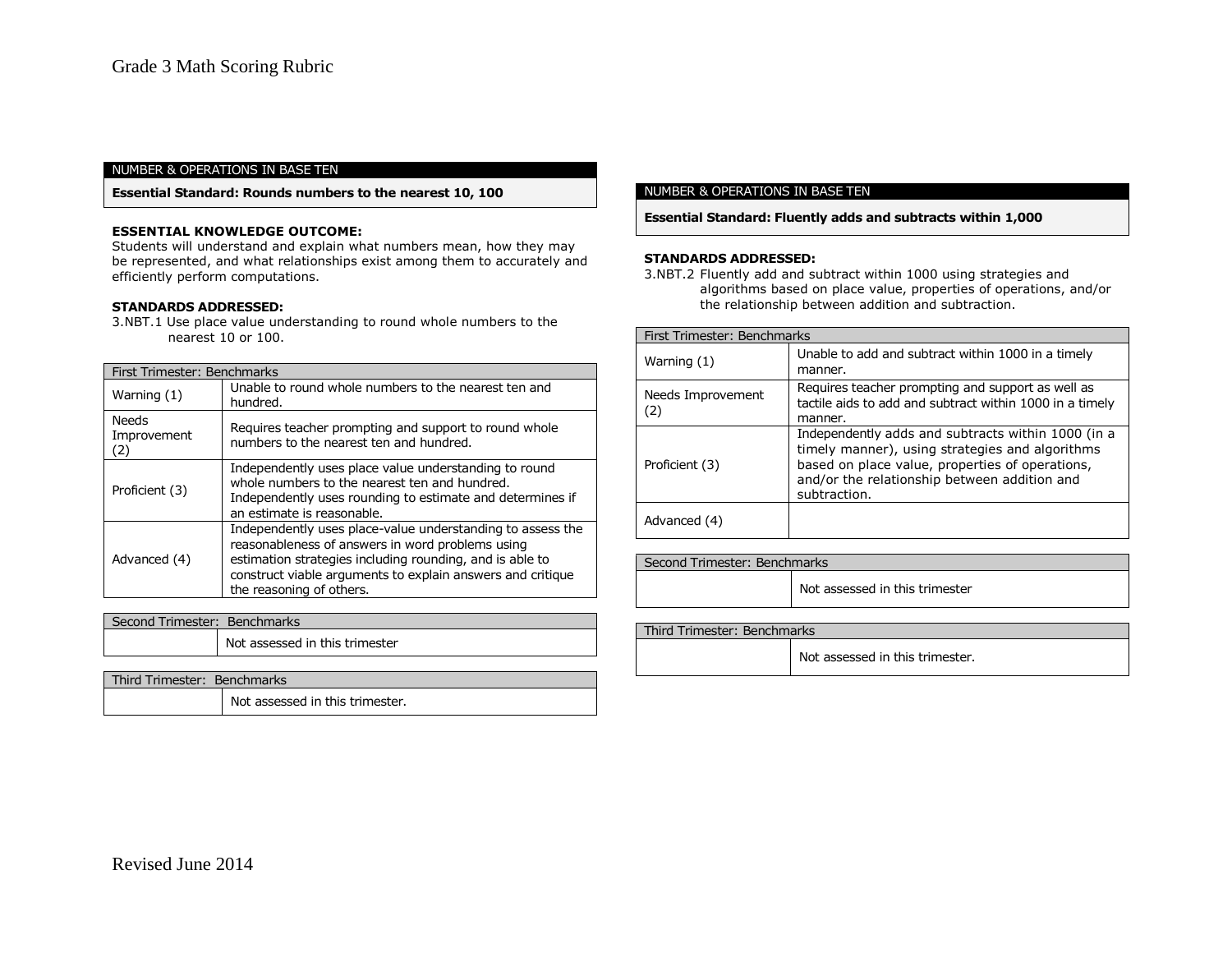#### NUMBER & OPERATIONS IN BASE TEN

**Essential Standard: Rounds numbers to the nearest 10, 100**

## **ESSENTIAL KNOWLEDGE OUTCOME:**

Students will understand and explain what numbers mean, how they may be represented, and what relationships exist among them to accurately and efficiently perform computations.

### **STANDARDS ADDRESSED:**

3.NBT.1 Use place value understanding to round whole numbers to the nearest 10 or 100.

| First Trimester: Benchmarks |                                                                                                                                                                                                                                                                      |  |
|-----------------------------|----------------------------------------------------------------------------------------------------------------------------------------------------------------------------------------------------------------------------------------------------------------------|--|
| Warning (1)                 | Unable to round whole numbers to the nearest ten and<br>hundred.                                                                                                                                                                                                     |  |
| Needs<br>Improvement<br>(2) | Requires teacher prompting and support to round whole<br>numbers to the nearest ten and hundred.                                                                                                                                                                     |  |
| Proficient (3)              | Independently uses place value understanding to round<br>whole numbers to the nearest ten and hundred.<br>Independently uses rounding to estimate and determines if<br>an estimate is reasonable.                                                                    |  |
| Advanced (4)                | Independently uses place-value understanding to assess the<br>reasonableness of answers in word problems using<br>estimation strategies including rounding, and is able to<br>construct viable arguments to explain answers and critique<br>the reasoning of others. |  |

| Second Trimester: Benchmarks |                                |
|------------------------------|--------------------------------|
|                              | Not assessed in this trimester |
|                              |                                |

| Third Trimester: Benchmarks |                                 |  |
|-----------------------------|---------------------------------|--|
|                             | Not assessed in this trimester. |  |

#### NUMBER & OPERATIONS IN BASE TEN

**Essential Standard: Fluently adds and subtracts within 1,000**

### **STANDARDS ADDRESSED:**

3.NBT.2 Fluently add and subtract within 1000 using strategies and algorithms based on place value, properties of operations, and/or the relationship between addition and subtraction.

| First Trimester: Benchmarks |                                                                                                                                                                                                                          |
|-----------------------------|--------------------------------------------------------------------------------------------------------------------------------------------------------------------------------------------------------------------------|
| Warning (1)                 | Unable to add and subtract within 1000 in a timely<br>manner.                                                                                                                                                            |
| Needs Improvement<br>(2)    | Requires teacher prompting and support as well as<br>tactile aids to add and subtract within 1000 in a timely<br>manner.                                                                                                 |
| Proficient (3)              | Independently adds and subtracts within 1000 (in a<br>timely manner), using strategies and algorithms<br>based on place value, properties of operations,<br>and/or the relationship between addition and<br>subtraction. |
| Advanced (4)                |                                                                                                                                                                                                                          |

| Second Trimester: Benchmarks |                                |  |
|------------------------------|--------------------------------|--|
|                              | Not assessed in this trimester |  |

| Third Trimester: Benchmarks |                                 |
|-----------------------------|---------------------------------|
|                             | Not assessed in this trimester. |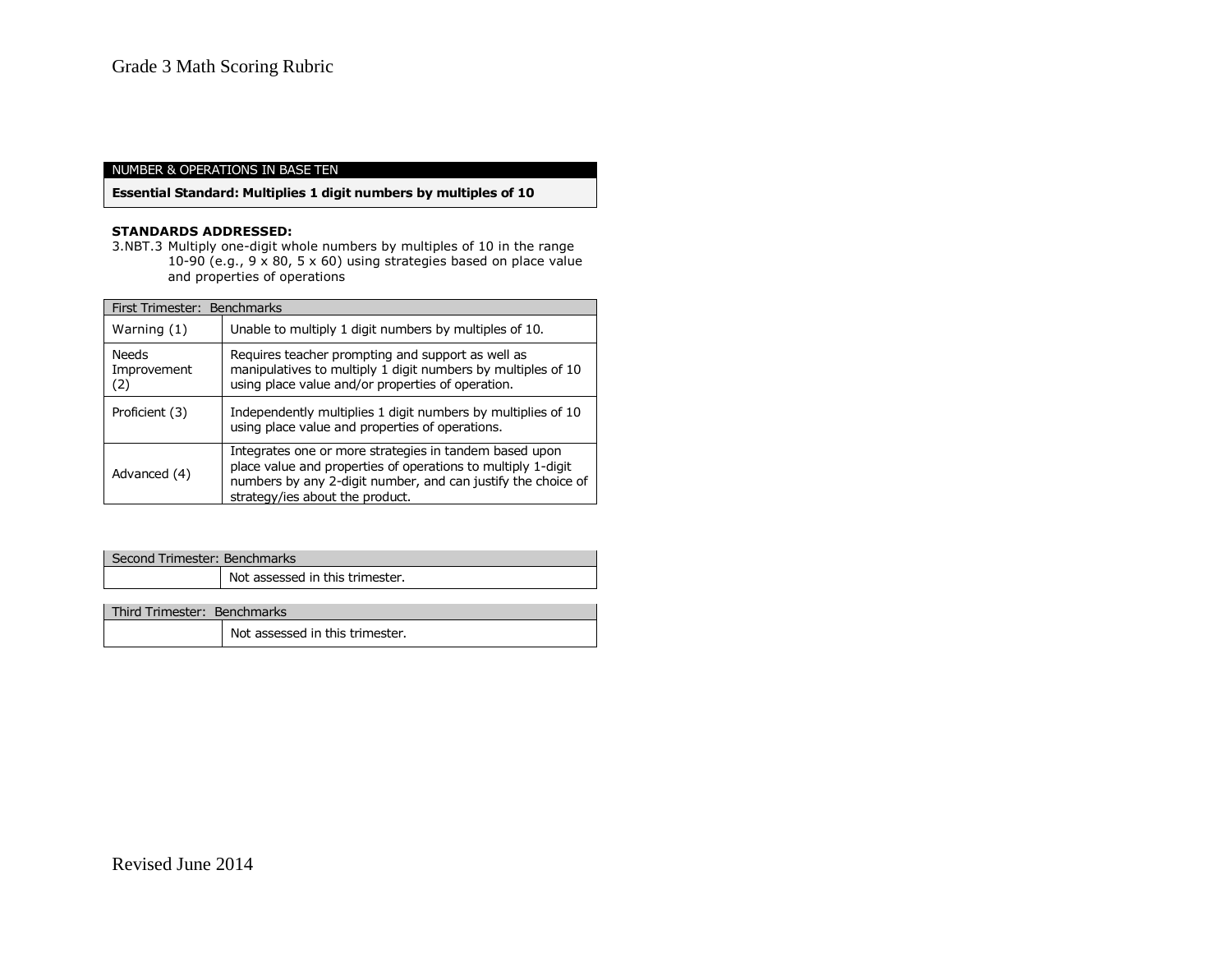# NUMBER & OPERATIONS IN BASE TEN

# **Essential Standard: Multiplies 1 digit numbers by multiples of 10**

# **STANDARDS ADDRESSED:**

3.NBT.3 Multiply one-digit whole numbers by multiples of 10 in the range 10-90 (e.g., 9 x 80, 5 x 60) using strategies based on place value and properties of operations

| First Trimester: Benchmarks |                                                                                                                                                                                                                           |
|-----------------------------|---------------------------------------------------------------------------------------------------------------------------------------------------------------------------------------------------------------------------|
| Warning (1)                 | Unable to multiply 1 digit numbers by multiples of 10.                                                                                                                                                                    |
| Needs<br>Improvement<br>(2) | Requires teacher prompting and support as well as<br>manipulatives to multiply 1 digit numbers by multiples of 10<br>using place value and/or properties of operation.                                                    |
| Proficient (3)              | Independently multiplies 1 digit numbers by multiplies of 10<br>using place value and properties of operations.                                                                                                           |
| Advanced (4)                | Integrates one or more strategies in tandem based upon<br>place value and properties of operations to multiply 1-digit<br>numbers by any 2-digit number, and can justify the choice of<br>strategy/ies about the product. |

| l Second Trimester: Benchmarks |                                 |
|--------------------------------|---------------------------------|
|                                | Not assessed in this trimester. |
|                                |                                 |

| Third Trimester: Benchmarks |                                 |
|-----------------------------|---------------------------------|
|                             | Not assessed in this trimester. |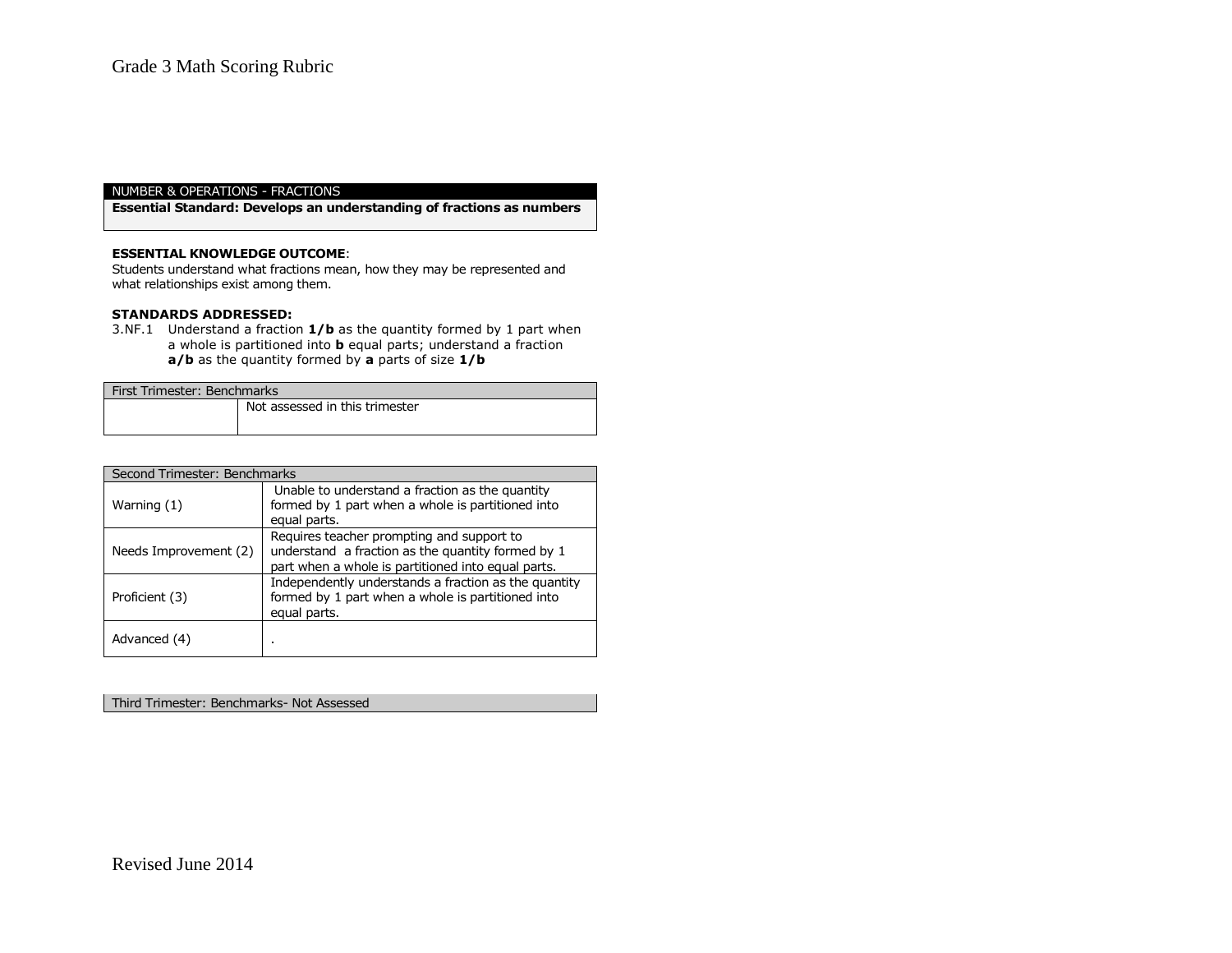# NUMBER & OPERATIONS - FRACTIONS

**Essential Standard: Develops an understanding of fractions as numbers**

### **ESSENTIAL KNOWLEDGE OUTCOME**:

Students understand what fractions mean, how they may be represented and what relationships exist among them.

### **STANDARDS ADDRESSED:**

3.NF.1 Understand a fraction **1/b** as the quantity formed by 1 part when a whole is partitioned into **b** equal parts; understand a fraction **a/b** as the quantity formed by **a** parts of size **1/b**

| First Trimester: Benchmarks |                                |
|-----------------------------|--------------------------------|
|                             | Not assessed in this trimester |

| Second Trimester: Benchmarks |                                                                                                                                                      |
|------------------------------|------------------------------------------------------------------------------------------------------------------------------------------------------|
| Warning (1)                  | Unable to understand a fraction as the quantity<br>formed by 1 part when a whole is partitioned into<br>equal parts.                                 |
| Needs Improvement (2)        | Requires teacher prompting and support to<br>understand a fraction as the quantity formed by 1<br>part when a whole is partitioned into equal parts. |
| Proficient (3)               | Independently understands a fraction as the quantity<br>formed by 1 part when a whole is partitioned into<br>equal parts.                            |
| Advanced (4)                 |                                                                                                                                                      |

Third Trimester: Benchmarks- Not Assessed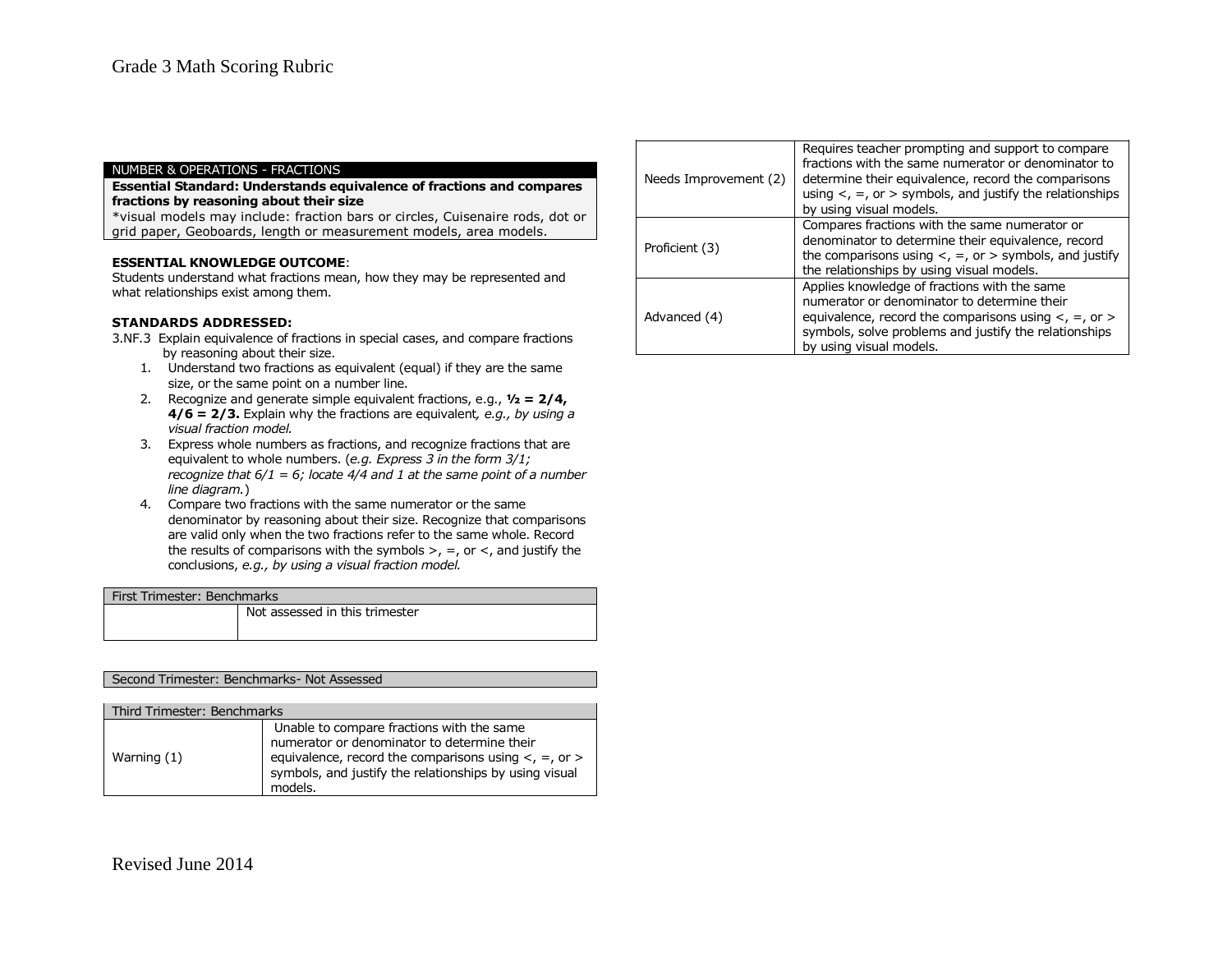#### NUMBER & OPERATIONS - FRACTIONS

### **Essential Standard: Understands equivalence of fractions and compares fractions by reasoning about their size**

\*visual models may include: fraction bars or circles, Cuisenaire rods, dot or grid paper, Geoboards, length or measurement models, area models.

#### **ESSENTIAL KNOWLEDGE OUTCOME**:

Students understand what fractions mean, how they may be represented and what relationships exist among them.

### **STANDARDS ADDRESSED:**

- 3.NF.3 Explain equivalence of fractions in special cases, and compare fractions by reasoning about their size.
	- 1. Understand two fractions as equivalent (equal) if they are the same size, or the same point on a number line.
	- 2. Recognize and generate simple equivalent fractions, e.g., **½ = 2/4, 4/6 = 2/3.** Explain why the fractions are equivalent*, e.g., by using a visual fraction model.*
	- 3. Express whole numbers as fractions, and recognize fractions that are equivalent to whole numbers. (*e.g. Express 3 in the form 3/1; recognize that 6/1 = 6; locate 4/4 and 1 at the same point of a number line diagram.*)
	- 4. Compare two fractions with the same numerator or the same denominator by reasoning about their size. Recognize that comparisons are valid only when the two fractions refer to the same whole. Record the results of comparisons with the symbols  $>$ ,  $=$ , or  $\lt$ , and justify the conclusions, *e.g., by using a visual fraction model.*

| First Trimester: Benchmarks |                                |
|-----------------------------|--------------------------------|
|                             | Not assessed in this trimester |

# Second Trimester: Benchmarks- Not Assessed

| Third Trimester: Benchmarks |                                                                                                                                                                                                                                 |
|-----------------------------|---------------------------------------------------------------------------------------------------------------------------------------------------------------------------------------------------------------------------------|
| Warning (1)                 | Unable to compare fractions with the same<br>numerator or denominator to determine their<br>equivalence, record the comparisons using $\lt$ , $=$ , or $>$<br>symbols, and justify the relationships by using visual<br>models. |

| Needs Improvement (2) | Requires teacher prompting and support to compare<br>fractions with the same numerator or denominator to<br>determine their equivalence, record the comparisons<br>using $\lt$ , =, or > symbols, and justify the relationships<br>by using visual models. |
|-----------------------|------------------------------------------------------------------------------------------------------------------------------------------------------------------------------------------------------------------------------------------------------------|
| Proficient (3)        | Compares fractions with the same numerator or<br>denominator to determine their equivalence, record<br>the comparisons using $\lt$ , $=$ , or $>$ symbols, and justify<br>the relationships by using visual models.                                        |
| Advanced (4)          | Applies knowledge of fractions with the same<br>numerator or denominator to determine their<br>equivalence, record the comparisons using $\lt$ , $=$ , or $\gt$<br>symbols, solve problems and justify the relationships<br>by using visual models.        |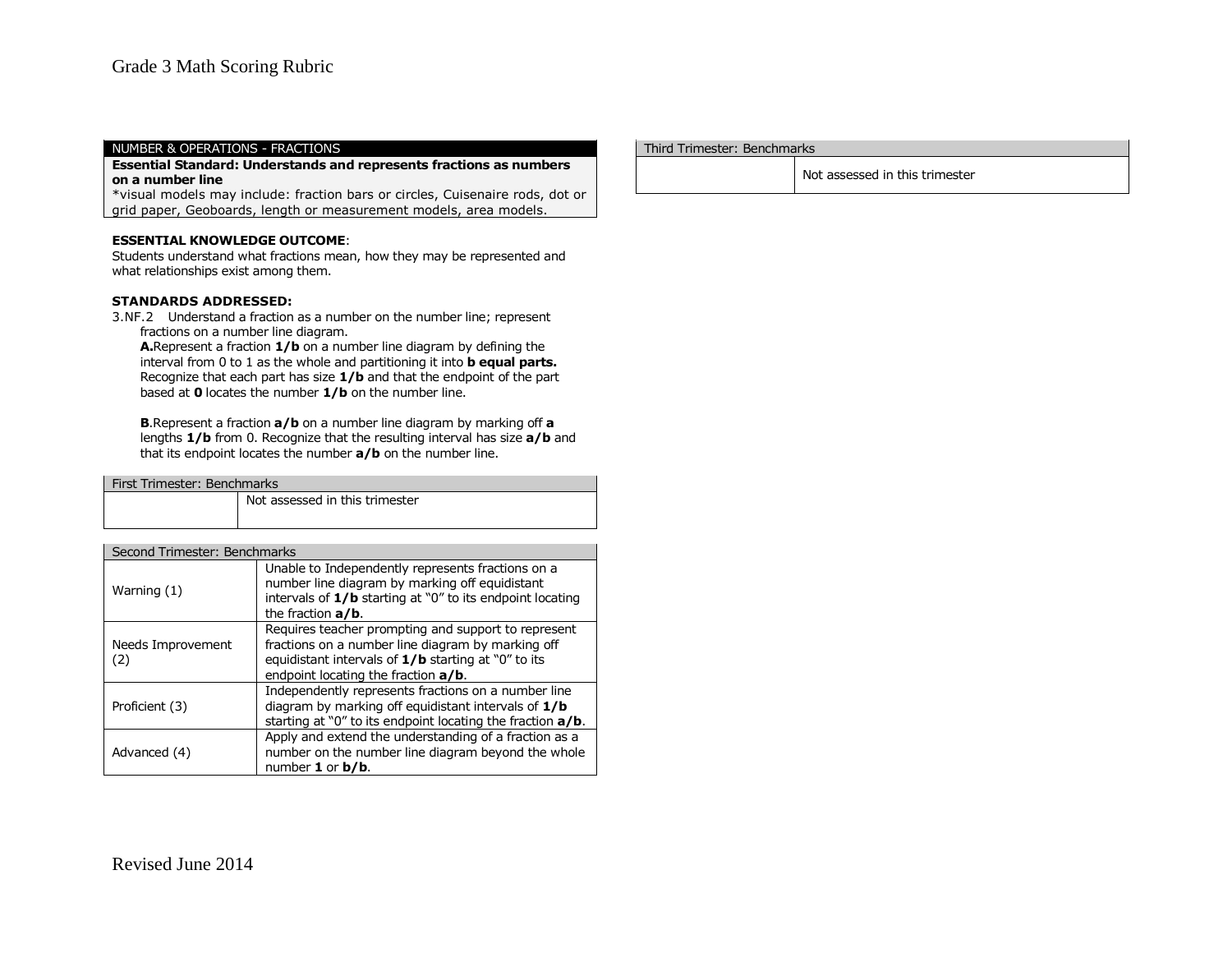#### NUMBER & OPERATIONS - FRACTIONS

**Essential Standard: Understands and represents fractions as numbers on a number line**

\*visual models may include: fraction bars or circles, Cuisenaire rods, dot or grid paper, Geoboards, length or measurement models, area models.

# **ESSENTIAL KNOWLEDGE OUTCOME**:

Students understand what fractions mean, how they may be represented and what relationships exist among them.

#### **STANDARDS ADDRESSED:**

3.NF.2 Understand a fraction as a number on the number line; represent fractions on a number line diagram.

**A.**Represent a fraction **1/b** on a number line diagram by defining the interval from 0 to 1 as the whole and partitioning it into **b equal parts.** Recognize that each part has size **1/b** and that the endpoint of the part based at **0** locates the number **1/b** on the number line.

**B**.Represent a fraction **a/b** on a number line diagram by marking off **a** lengths **1/b** from 0. Recognize that the resulting interval has size **a/b** and that its endpoint locates the number **a/b** on the number line.

| First Trimester: Benchmarks  |                                                                                                                                                                    |  |
|------------------------------|--------------------------------------------------------------------------------------------------------------------------------------------------------------------|--|
|                              | Not assessed in this trimester                                                                                                                                     |  |
|                              |                                                                                                                                                                    |  |
|                              |                                                                                                                                                                    |  |
| Second Trimester: Benchmarks |                                                                                                                                                                    |  |
| Warning (1)                  | Unable to Independently represents fractions on a<br>number line diagram by marking off equidistant<br>intervals of $1/b$ starting at "0" to its endpoint locating |  |

|                          | the fraction $a/b$ .                                                                                                                                                                                     |
|--------------------------|----------------------------------------------------------------------------------------------------------------------------------------------------------------------------------------------------------|
| Needs Improvement<br>(2) | Requires teacher prompting and support to represent<br>fractions on a number line diagram by marking off<br>equidistant intervals of $1/b$ starting at "0" to its<br>endpoint locating the fraction a/b. |
| Proficient (3)           | Independently represents fractions on a number line<br>diagram by marking off equidistant intervals of $1/b$<br>starting at "0" to its endpoint locating the fraction $a/b$ .                            |
| Advanced (4)             | Apply and extend the understanding of a fraction as a<br>number on the number line diagram beyond the whole<br>number $1$ or $b/b$ .                                                                     |

#### Third Trimester: Benchmarks

Not assessed in this trimester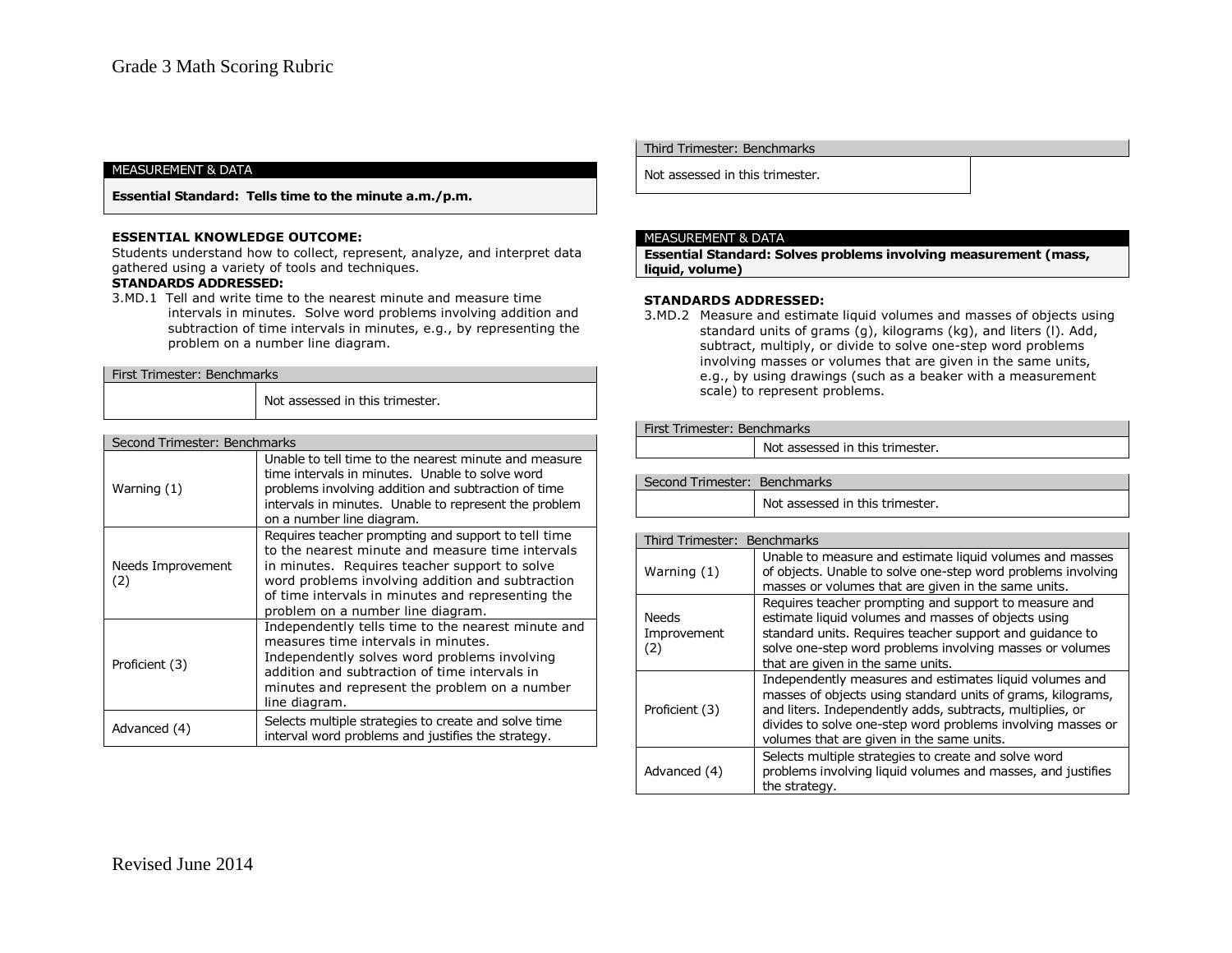**Essential Standard: Tells time to the minute a.m./p.m.**

#### **ESSENTIAL KNOWLEDGE OUTCOME:**

Students understand how to collect, represent, analyze, and interpret data gathered using a variety of tools and techniques.

# **STANDARDS ADDRESSED:**

3.MD.1 Tell and write time to the nearest minute and measure time intervals in minutes. Solve word problems involving addition and subtraction of time intervals in minutes, e.g., by representing the problem on a number line diagram.

| First Trimester: Benchmarks |                                 |  |
|-----------------------------|---------------------------------|--|
|                             | Not assessed in this trimester. |  |

| Second Trimester: Benchmarks |                                                                                                                                                                                                                                                                                                        |
|------------------------------|--------------------------------------------------------------------------------------------------------------------------------------------------------------------------------------------------------------------------------------------------------------------------------------------------------|
| Warning (1)                  | Unable to tell time to the nearest minute and measure<br>time intervals in minutes. Unable to solve word<br>problems involving addition and subtraction of time<br>intervals in minutes. Unable to represent the problem<br>on a number line diagram.                                                  |
| Needs Improvement<br>(2)     | Requires teacher prompting and support to tell time<br>to the nearest minute and measure time intervals<br>in minutes. Requires teacher support to solve<br>word problems involving addition and subtraction<br>of time intervals in minutes and representing the<br>problem on a number line diagram. |
| Proficient (3)               | Independently tells time to the nearest minute and<br>measures time intervals in minutes.<br>Independently solves word problems involving<br>addition and subtraction of time intervals in<br>minutes and represent the problem on a number<br>line diagram.                                           |
| Advanced (4)                 | Selects multiple strategies to create and solve time<br>interval word problems and justifies the strategy.                                                                                                                                                                                             |

#### Third Trimester: Benchmarks

Not assessed in this trimester.

### MEASUREMENT & DATA

**Essential Standard: Solves problems involving measurement (mass, liquid, volume)**

### **STANDARDS ADDRESSED:**

3.MD.2 Measure and estimate liquid volumes and masses of objects using standard units of grams (g), kilograms (kg), and liters (l). Add, subtract, multiply, or divide to solve one-step word problems involving masses or volumes that are given in the same units, e.g., by using drawings (such as a beaker with a measurement scale) to represent problems.

#### First Trimester: Benchmarks

Not assessed in this trimester.

### Second Trimester: Benchmarks

Not assessed in this trimester.

| Third Trimester: Benchmarks |                                                                                                                                                                                                                                                                                                 |
|-----------------------------|-------------------------------------------------------------------------------------------------------------------------------------------------------------------------------------------------------------------------------------------------------------------------------------------------|
| Warning (1)                 | Unable to measure and estimate liquid volumes and masses<br>of objects. Unable to solve one-step word problems involving<br>masses or volumes that are given in the same units.                                                                                                                 |
| Needs<br>Improvement<br>(2) | Requires teacher prompting and support to measure and<br>estimate liquid volumes and masses of objects using<br>standard units. Requires teacher support and quidance to<br>solve one-step word problems involving masses or volumes<br>that are given in the same units.                       |
| Proficient (3)              | Independently measures and estimates liquid volumes and<br>masses of objects using standard units of grams, kilograms,<br>and liters. Independently adds, subtracts, multiplies, or<br>divides to solve one-step word problems involving masses or<br>volumes that are given in the same units. |
| Advanced (4)                | Selects multiple strategies to create and solve word<br>problems involving liquid volumes and masses, and justifies<br>the strategy.                                                                                                                                                            |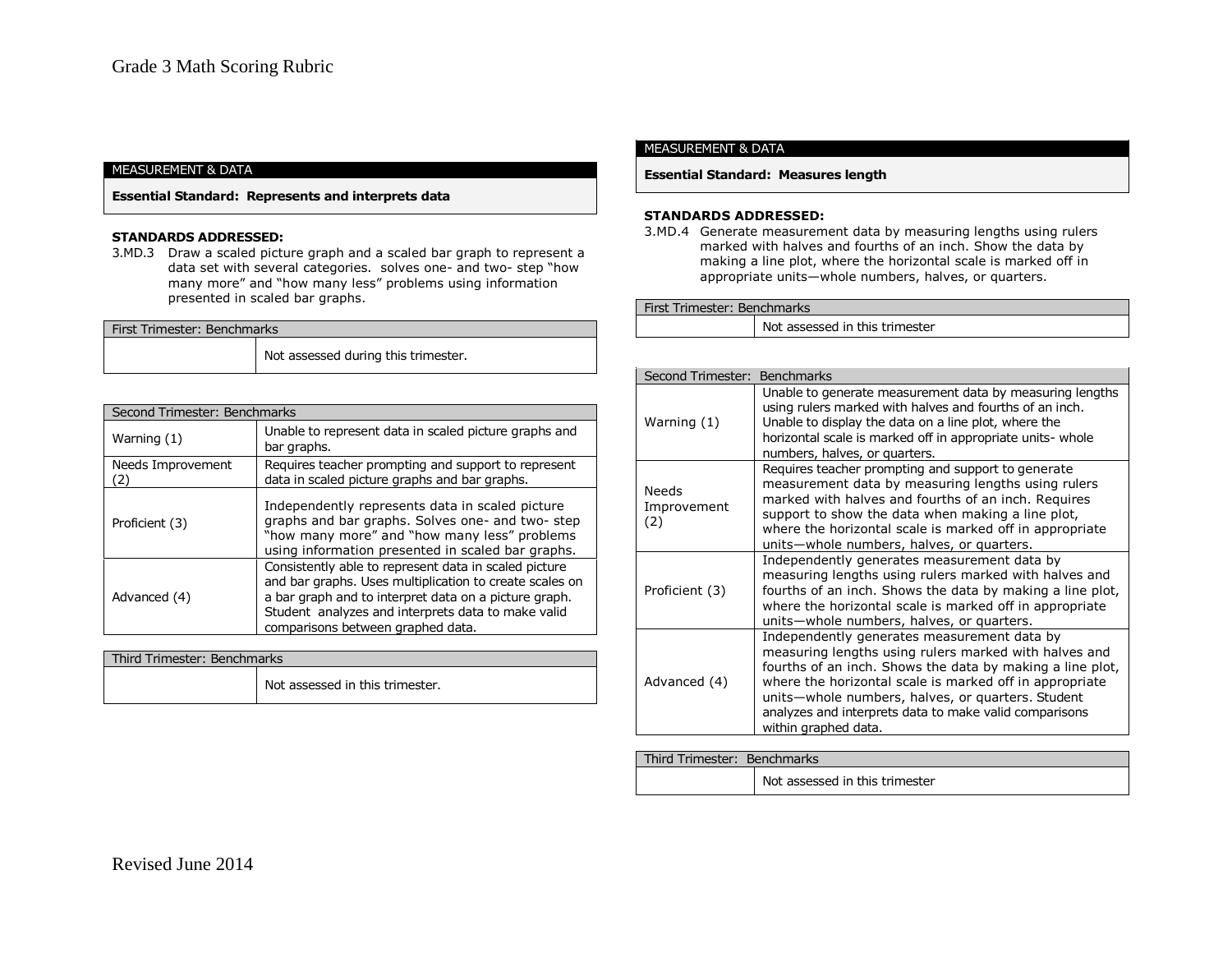**Essential Standard: Represents and interprets data**

### **STANDARDS ADDRESSED:**

3.MD.3 Draw a scaled picture graph and a scaled bar graph to represent a data set with several categories. solves one- and two- step "how many more" and "how many less" problems using information presented in scaled bar graphs.

| First Trimester: Benchmarks |                                     |  |
|-----------------------------|-------------------------------------|--|
|                             | Not assessed during this trimester. |  |
|                             |                                     |  |

| Second Trimester: Benchmarks |                                                                                                                                                                                                                                                                      |
|------------------------------|----------------------------------------------------------------------------------------------------------------------------------------------------------------------------------------------------------------------------------------------------------------------|
| Warning (1)                  | Unable to represent data in scaled picture graphs and<br>bar graphs.                                                                                                                                                                                                 |
| Needs Improvement<br>2١)     | Requires teacher prompting and support to represent<br>data in scaled picture graphs and bar graphs.                                                                                                                                                                 |
| Proficient (3)               | Independently represents data in scaled picture<br>graphs and bar graphs. Solves one- and two- step<br>"how many more" and "how many less" problems<br>using information presented in scaled bar graphs.                                                             |
| Advanced (4)                 | Consistently able to represent data in scaled picture<br>and bar graphs. Uses multiplication to create scales on<br>a bar graph and to interpret data on a picture graph.<br>Student analyzes and interprets data to make valid<br>comparisons between graphed data. |

| Third Trimester: Benchmarks |                                 |  |
|-----------------------------|---------------------------------|--|
|                             | Not assessed in this trimester. |  |

#### MEASUREMENT & DATA

## **Essential Standard: Measures length**

# **STANDARDS ADDRESSED:**

3.MD.4 Generate measurement data by measuring lengths using rulers marked with halves and fourths of an inch. Show the data by making a line plot, where the horizontal scale is marked off in appropriate units—whole numbers, halves, or quarters.

## First Trimester: Benchmarks

Not assessed in this trimester

| Second Trimester: Benchmarks       |                                                                                                                                                                                                                                                                                                                                                                     |
|------------------------------------|---------------------------------------------------------------------------------------------------------------------------------------------------------------------------------------------------------------------------------------------------------------------------------------------------------------------------------------------------------------------|
| Warning (1)                        | Unable to generate measurement data by measuring lengths<br>using rulers marked with halves and fourths of an inch.<br>Unable to display the data on a line plot, where the<br>horizontal scale is marked off in appropriate units- whole<br>numbers, halves, or quarters.                                                                                          |
| <b>Needs</b><br>Improvement<br>(2) | Requires teacher prompting and support to generate<br>measurement data by measuring lengths using rulers<br>marked with halves and fourths of an inch. Requires<br>support to show the data when making a line plot,<br>where the horizontal scale is marked off in appropriate<br>units-whole numbers, halves, or quarters.                                        |
| Proficient (3)                     | Independently generates measurement data by<br>measuring lengths using rulers marked with halves and<br>fourths of an inch. Shows the data by making a line plot,<br>where the horizontal scale is marked off in appropriate<br>units-whole numbers, halves, or quarters.                                                                                           |
| Advanced (4)                       | Independently generates measurement data by<br>measuring lengths using rulers marked with halves and<br>fourths of an inch. Shows the data by making a line plot,<br>where the horizontal scale is marked off in appropriate<br>units-whole numbers, halves, or quarters. Student<br>analyzes and interprets data to make valid comparisons<br>within graphed data. |

# Third Trimester: Benchmarks

Not assessed in this trimester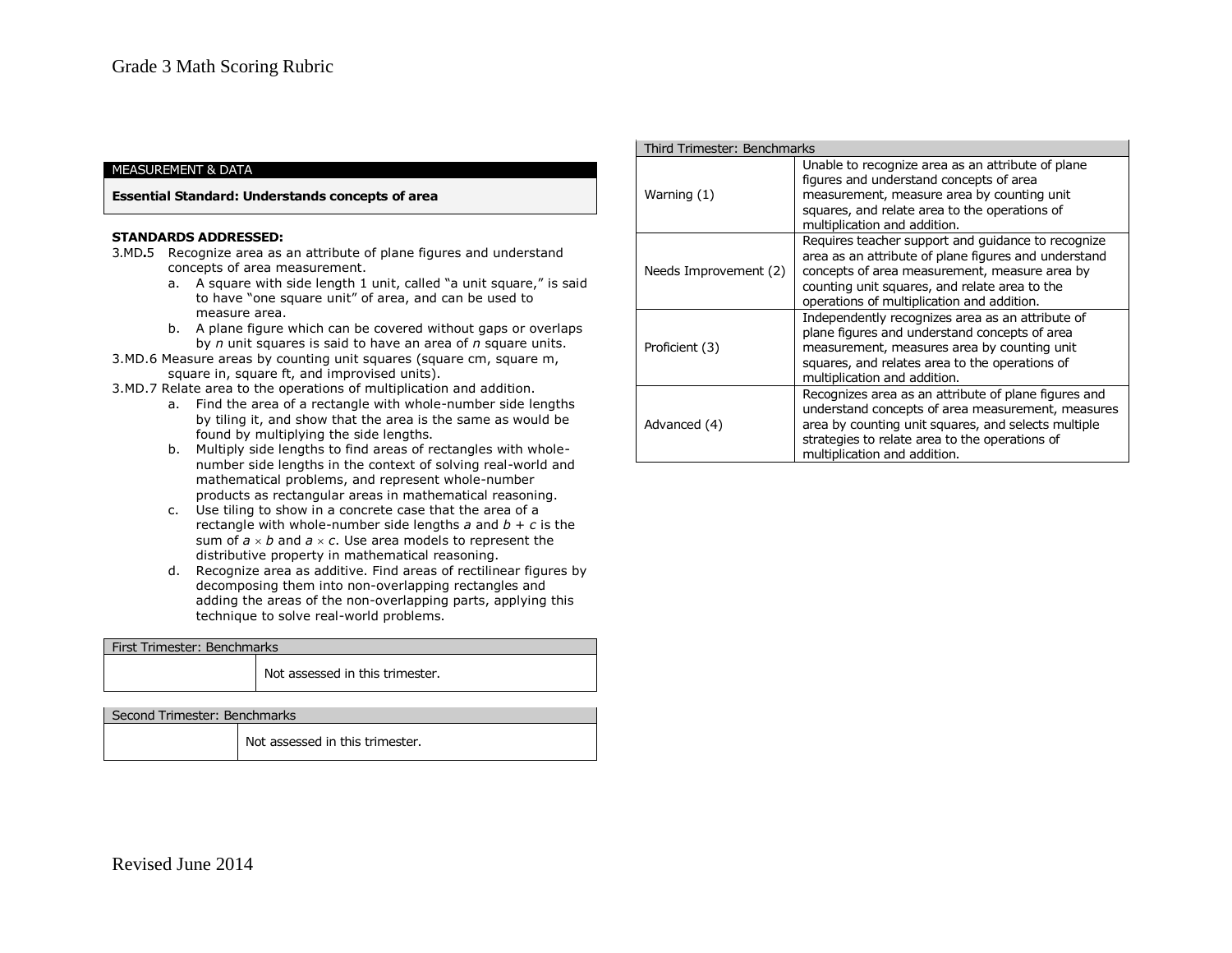#### **Essential Standard: Understands concepts of area**

#### **STANDARDS ADDRESSED:**

- 3.MD**.**5 Recognize area as an attribute of plane figures and understand concepts of area measurement.
	- a. A square with side length 1 unit, called "a unit square," is said to have "one square unit" of area, and can be used to measure area.
	- b. A plane figure which can be covered without gaps or overlaps by *n* unit squares is said to have an area of *n* square units.
- 3.MD.6 Measure areas by counting unit squares (square cm, square m, square in, square ft, and improvised units).
- 3.MD.7 Relate area to the operations of multiplication and addition.
	- a. Find the area of a rectangle with whole-number side lengths by tiling it, and show that the area is the same as would be found by multiplying the side lengths.
	- b. Multiply side lengths to find areas of rectangles with wholenumber side lengths in the context of solving real-world and mathematical problems, and represent whole-number products as rectangular areas in mathematical reasoning.
	- c. Use tiling to show in a concrete case that the area of a rectangle with whole-number side lengths  $a$  and  $b + c$  is the sum of  $a \times b$  and  $a \times c$ . Use area models to represent the distributive property in mathematical reasoning.
	- d. Recognize area as additive. Find areas of rectilinear figures by decomposing them into non-overlapping rectangles and adding the areas of the non-overlapping parts, applying this technique to solve real-world problems.

| First Trimester: Benchmarks |                                 |
|-----------------------------|---------------------------------|
|                             | Not assessed in this trimester. |
|                             |                                 |

# Second Trimester: Benchmarks

Not assessed in this trimester.

| Third Trimester: Benchmarks |                                                                                                                                                                                                                                                            |
|-----------------------------|------------------------------------------------------------------------------------------------------------------------------------------------------------------------------------------------------------------------------------------------------------|
| Warning (1)                 | Unable to recognize area as an attribute of plane<br>figures and understand concepts of area<br>measurement, measure area by counting unit<br>squares, and relate area to the operations of<br>multiplication and addition.                                |
| Needs Improvement (2)       | Requires teacher support and guidance to recognize<br>area as an attribute of plane figures and understand<br>concepts of area measurement, measure area by<br>counting unit squares, and relate area to the<br>operations of multiplication and addition. |
| Proficient (3)              | Independently recognizes area as an attribute of<br>plane figures and understand concepts of area<br>measurement, measures area by counting unit<br>squares, and relates area to the operations of<br>multiplication and addition.                         |
| Advanced (4)                | Recognizes area as an attribute of plane figures and<br>understand concepts of area measurement, measures<br>area by counting unit squares, and selects multiple<br>strategies to relate area to the operations of<br>multiplication and addition.         |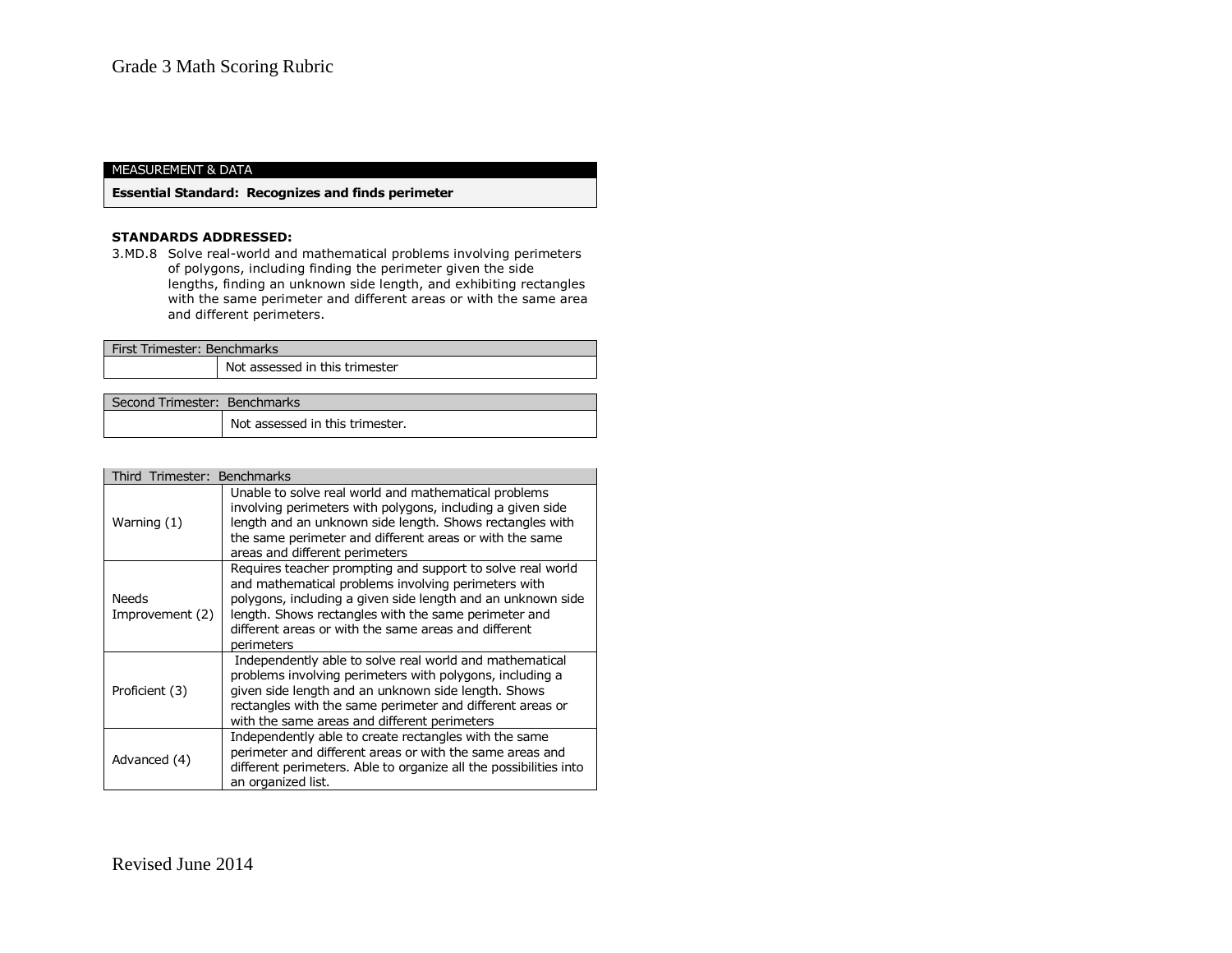**Essential Standard: Recognizes and finds perimeter**

#### **STANDARDS ADDRESSED:**

3.MD.8 Solve real-world and mathematical problems involving perimeters of polygons, including finding the perimeter given the side lengths, finding an unknown side length, and exhibiting rectangles with the same perimeter and different areas or with the same area and different perimeters.

| First Trimester: Benchmarks  |                                |
|------------------------------|--------------------------------|
|                              | Not assessed in this trimester |
|                              |                                |
| Second Trimester: Benchmarks |                                |
|                              |                                |

Not assessed in this trimester.

| Third Trimester: Benchmarks     |                                                                                                                                                                                                                                                                                                                |
|---------------------------------|----------------------------------------------------------------------------------------------------------------------------------------------------------------------------------------------------------------------------------------------------------------------------------------------------------------|
| Warning (1)                     | Unable to solve real world and mathematical problems<br>involving perimeters with polygons, including a given side<br>length and an unknown side length. Shows rectangles with<br>the same perimeter and different areas or with the same<br>areas and different perimeters                                    |
| <b>Needs</b><br>Improvement (2) | Requires teacher prompting and support to solve real world<br>and mathematical problems involving perimeters with<br>polygons, including a given side length and an unknown side<br>length. Shows rectangles with the same perimeter and<br>different areas or with the same areas and different<br>perimeters |
| Proficient (3)                  | Independently able to solve real world and mathematical<br>problems involving perimeters with polygons, including a<br>given side length and an unknown side length. Shows<br>rectangles with the same perimeter and different areas or<br>with the same areas and different perimeters                        |
| Advanced (4)                    | Independently able to create rectangles with the same<br>perimeter and different areas or with the same areas and<br>different perimeters. Able to organize all the possibilities into<br>an organized list.                                                                                                   |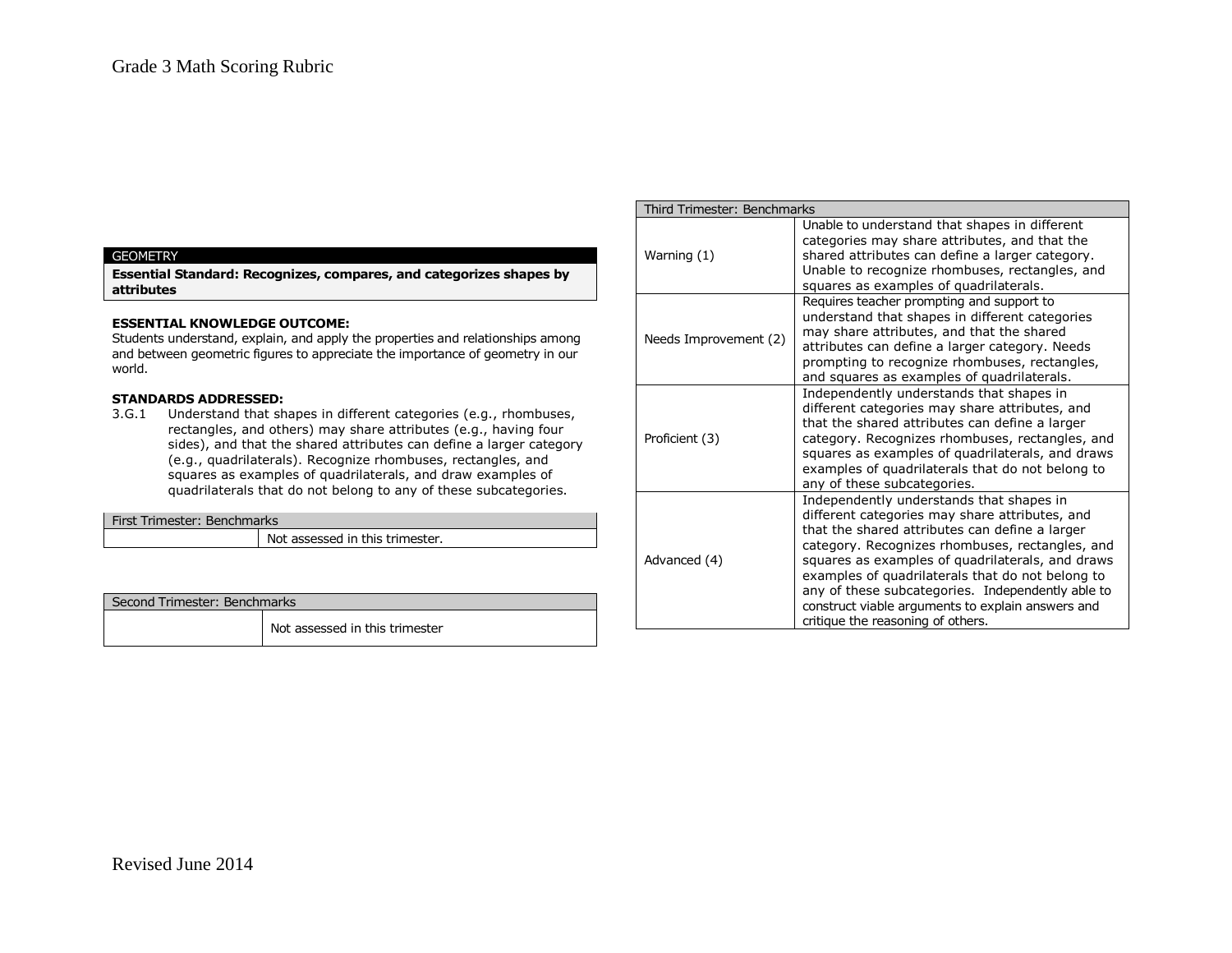### **GEOMETRY**

**Essential Standard: Recognizes, compares, and categorizes shapes by attributes**

# **ESSENTIAL KNOWLEDGE OUTCOME:**

Students understand, explain, and apply the properties and relationships among and between geometric figures to appreciate the importance of geometry in our world.

# **STANDARDS ADDRESSED:**

3.G.1 Understand that shapes in different categories (e.g., rhombuses, rectangles, and others) may share attributes (e.g., having four sides), and that the shared attributes can define a larger category (e.g., quadrilaterals). Recognize rhombuses, rectangles, and squares as examples of quadrilaterals, and draw examples of quadrilaterals that do not belong to any of these subcategories.

| First Trimester: Benchmarks |                                 |
|-----------------------------|---------------------------------|
|                             | Not assessed in this trimester. |
|                             |                                 |

| Second Trimester: Benchmarks |                                |
|------------------------------|--------------------------------|
|                              | Not assessed in this trimester |

| Third Trimester: Benchmarks |                                                                                                                                                                                                                                                                                                                                                                                                                                                        |  |
|-----------------------------|--------------------------------------------------------------------------------------------------------------------------------------------------------------------------------------------------------------------------------------------------------------------------------------------------------------------------------------------------------------------------------------------------------------------------------------------------------|--|
| Warning (1)                 | Unable to understand that shapes in different<br>categories may share attributes, and that the<br>shared attributes can define a larger category.<br>Unable to recognize rhombuses, rectangles, and<br>squares as examples of quadrilaterals.                                                                                                                                                                                                          |  |
| Needs Improvement (2)       | Requires teacher prompting and support to<br>understand that shapes in different categories<br>may share attributes, and that the shared<br>attributes can define a larger category. Needs<br>prompting to recognize rhombuses, rectangles,<br>and squares as examples of quadrilaterals.                                                                                                                                                              |  |
| Proficient (3)              | Independently understands that shapes in<br>different categories may share attributes, and<br>that the shared attributes can define a larger<br>category. Recognizes rhombuses, rectangles, and<br>squares as examples of quadrilaterals, and draws<br>examples of quadrilaterals that do not belong to<br>any of these subcategories.                                                                                                                 |  |
| Advanced (4)                | Independently understands that shapes in<br>different categories may share attributes, and<br>that the shared attributes can define a larger<br>category. Recognizes rhombuses, rectangles, and<br>squares as examples of quadrilaterals, and draws<br>examples of quadrilaterals that do not belong to<br>any of these subcategories. Independently able to<br>construct viable arguments to explain answers and<br>critique the reasoning of others. |  |